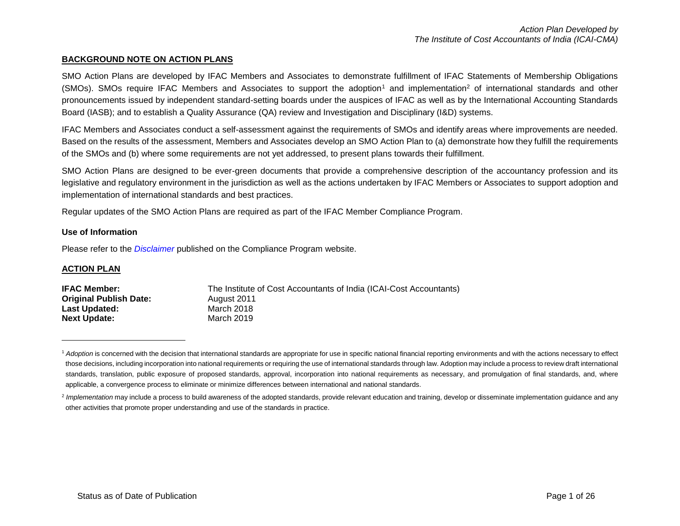#### **BACKGROUND NOTE ON ACTION PLANS**

SMO Action Plans are developed by IFAC Members and Associates to demonstrate fulfillment of IFAC Statements of Membership Obligations  $(SMOs)$ . SMOs require IFAC Members and Associates to support the adoption<sup>1</sup> and implementation<sup>2</sup> of international standards and other pronouncements issued by independent standard-setting boards under the auspices of IFAC as well as by the International Accounting Standards Board (IASB); and to establish a Quality Assurance (QA) review and Investigation and Disciplinary (I&D) systems.

IFAC Members and Associates conduct a self-assessment against the requirements of SMOs and identify areas where improvements are needed. Based on the results of the assessment, Members and Associates develop an SMO Action Plan to (a) demonstrate how they fulfill the requirements of the SMOs and (b) where some requirements are not yet addressed, to present plans towards their fulfillment.

SMO Action Plans are designed to be ever-green documents that provide a comprehensive description of the accountancy profession and its legislative and regulatory environment in the jurisdiction as well as the actions undertaken by IFAC Members or Associates to support adoption and implementation of international standards and best practices.

Regular updates of the SMO Action Plans are required as part of the IFAC Member Compliance Program.

#### **Use of Information**

Please refer to the *[Disclaimer](http://www.ifac.org/about-ifac/membership/members/disclaimer)* published on the Compliance Program website.

#### **ACTION PLAN**

 $\overline{a}$ 

| <b>IFAC Member:</b>           | The Institute of Cost Accountants of India (ICAI-Cost Accountants) |
|-------------------------------|--------------------------------------------------------------------|
| <b>Original Publish Date:</b> | August 2011                                                        |
| Last Updated:                 | March 2018                                                         |
| <b>Next Update:</b>           | March 2019                                                         |
|                               |                                                                    |

<sup>&</sup>lt;sup>1</sup> Adoption is concerned with the decision that international standards are appropriate for use in specific national financial reporting environments and with the actions necessary to effect those decisions, including incorporation into national requirements or requiring the use of international standards through law. Adoption may include a process to review draft international standards, translation, public exposure of proposed standards, approval, incorporation into national requirements as necessary, and promulgation of final standards, and, where applicable, a convergence process to eliminate or minimize differences between international and national standards.

<sup>&</sup>lt;sup>2</sup> Implementation may include a process to build awareness of the adopted standards, provide relevant education and training, develop or disseminate implementation guidance and any other activities that promote proper understanding and use of the standards in practice.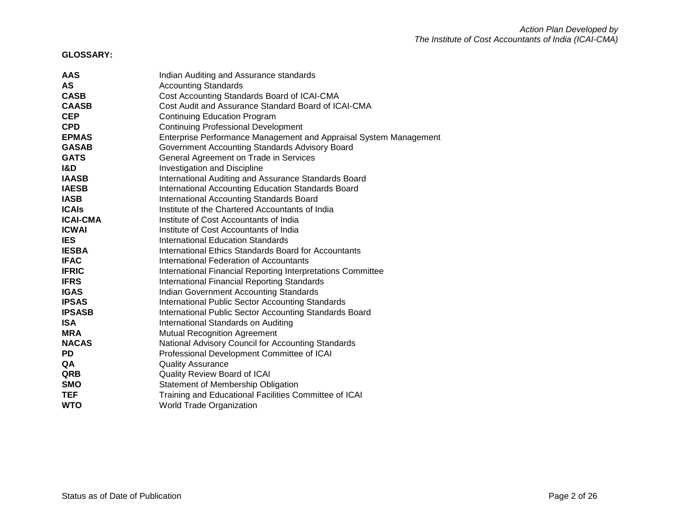# **GLOSSARY:**

| AAS             | Indian Auditing and Assurance standards                           |
|-----------------|-------------------------------------------------------------------|
| <b>AS</b>       | <b>Accounting Standards</b>                                       |
| <b>CASB</b>     | Cost Accounting Standards Board of ICAI-CMA                       |
| <b>CAASB</b>    | Cost Audit and Assurance Standard Board of ICAI-CMA               |
| <b>CEP</b>      | <b>Continuing Education Program</b>                               |
| <b>CPD</b>      | <b>Continuing Professional Development</b>                        |
| <b>EPMAS</b>    | Enterprise Performance Management and Appraisal System Management |
| <b>GASAB</b>    | Government Accounting Standards Advisory Board                    |
| <b>GATS</b>     | General Agreement on Trade in Services                            |
| <b>I&amp;D</b>  | <b>Investigation and Discipline</b>                               |
| <b>IAASB</b>    | International Auditing and Assurance Standards Board              |
| <b>IAESB</b>    | International Accounting Education Standards Board                |
| <b>IASB</b>     | <b>International Accounting Standards Board</b>                   |
| <b>ICAIS</b>    | Institute of the Chartered Accountants of India                   |
| <b>ICAI-CMA</b> | Institute of Cost Accountants of India                            |
| <b>ICWAI</b>    | Institute of Cost Accountants of India                            |
| <b>IES</b>      | International Education Standards                                 |
| <b>IESBA</b>    | International Ethics Standards Board for Accountants              |
| <b>IFAC</b>     | <b>International Federation of Accountants</b>                    |
| <b>IFRIC</b>    | International Financial Reporting Interpretations Committee       |
| <b>IFRS</b>     | <b>International Financial Reporting Standards</b>                |
| <b>IGAS</b>     | <b>Indian Government Accounting Standards</b>                     |
| <b>IPSAS</b>    | <b>International Public Sector Accounting Standards</b>           |
| <b>IPSASB</b>   | International Public Sector Accounting Standards Board            |
| <b>ISA</b>      | International Standards on Auditing                               |
| <b>MRA</b>      | <b>Mutual Recognition Agreement</b>                               |
| <b>NACAS</b>    | National Advisory Council for Accounting Standards                |
| <b>PD</b>       | Professional Development Committee of ICAI                        |
| QA              | <b>Quality Assurance</b>                                          |
| <b>QRB</b>      | Quality Review Board of ICAI                                      |
| <b>SMO</b>      | Statement of Membership Obligation                                |
| <b>TEF</b>      | Training and Educational Facilities Committee of ICAI             |
| <b>WTO</b>      | <b>World Trade Organization</b>                                   |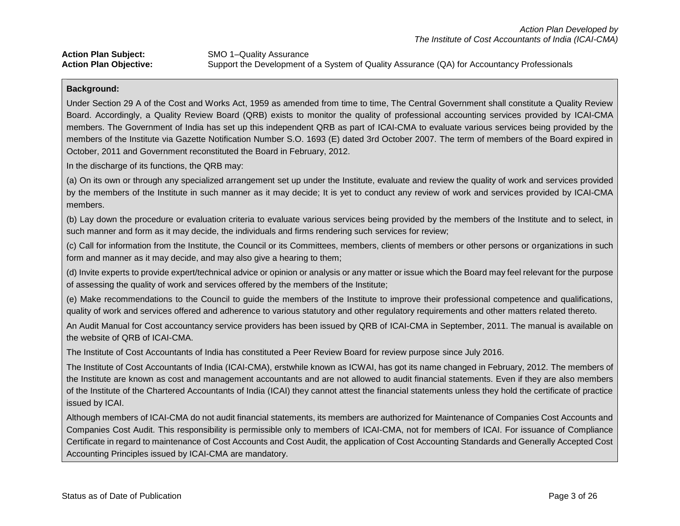**Action Plan Subject:** SMO 1–Quality Assurance **Action Plan Objective:** Support the Development of a System of Quality Assurance (QA) for Accountancy Professionals

#### **Background:**

Under Section 29 A of the Cost and Works Act, 1959 as amended from time to time, The Central Government shall constitute a Quality Review Board. Accordingly, a Quality Review Board (QRB) exists to monitor the quality of professional accounting services provided by ICAI-CMA members. The Government of India has set up this independent QRB as part of ICAI-CMA to evaluate various services being provided by the members of the Institute via Gazette Notification Number S.O. 1693 (E) dated 3rd October 2007. The term of members of the Board expired in October, 2011 and Government reconstituted the Board in February, 2012.

In the discharge of its functions, the QRB may:

(a) On its own or through any specialized arrangement set up under the Institute, evaluate and review the quality of work and services provided by the members of the Institute in such manner as it may decide; It is yet to conduct any review of work and services provided by ICAI-CMA members.

(b) Lay down the procedure or evaluation criteria to evaluate various services being provided by the members of the Institute and to select, in such manner and form as it may decide, the individuals and firms rendering such services for review;

(c) Call for information from the Institute, the Council or its Committees, members, clients of members or other persons or organizations in such form and manner as it may decide, and may also give a hearing to them;

(d) Invite experts to provide expert/technical advice or opinion or analysis or any matter or issue which the Board may feel relevant for the purpose of assessing the quality of work and services offered by the members of the Institute;

(e) Make recommendations to the Council to guide the members of the Institute to improve their professional competence and qualifications, quality of work and services offered and adherence to various statutory and other regulatory requirements and other matters related thereto.

An Audit Manual for Cost accountancy service providers has been issued by QRB of ICAI-CMA in September, 2011. The manual is available on the website of QRB of ICAI-CMA.

The Institute of Cost Accountants of India has constituted a Peer Review Board for review purpose since July 2016.

The Institute of Cost Accountants of India (ICAI-CMA), erstwhile known as ICWAI, has got its name changed in February, 2012. The members of the Institute are known as cost and management accountants and are not allowed to audit financial statements. Even if they are also members of the Institute of the Chartered Accountants of India (ICAI) they cannot attest the financial statements unless they hold the certificate of practice issued by ICAI.

Although members of ICAI-CMA do not audit financial statements, its members are authorized for Maintenance of Companies Cost Accounts and Companies Cost Audit. This responsibility is permissible only to members of ICAI-CMA, not for members of ICAI. For issuance of Compliance Certificate in regard to maintenance of Cost Accounts and Cost Audit, the application of Cost Accounting Standards and Generally Accepted Cost Accounting Principles issued by ICAI-CMA are mandatory.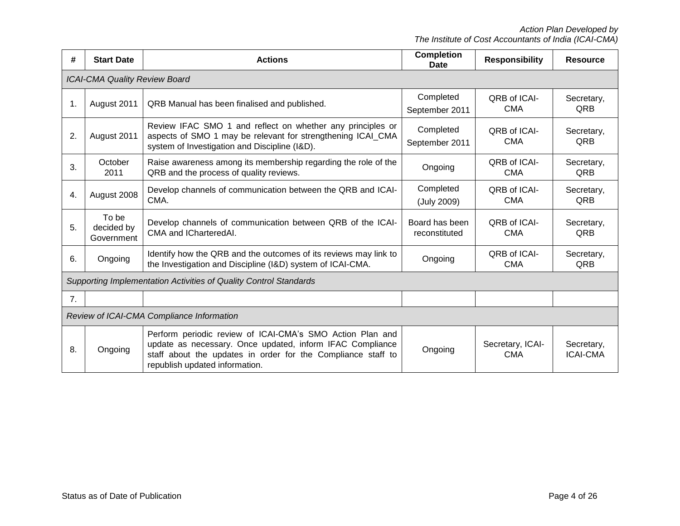*Action Plan Developed by The Institute of Cost Accountants of India (ICAI-CMA)*

| #  | <b>Start Date</b>                         | <b>Actions</b>                                                                                                                                                                                                           | <b>Completion</b><br>Date       | <b>Responsibility</b>             | <b>Resource</b>               |  |  |
|----|-------------------------------------------|--------------------------------------------------------------------------------------------------------------------------------------------------------------------------------------------------------------------------|---------------------------------|-----------------------------------|-------------------------------|--|--|
|    | <b>ICAI-CMA Quality Review Board</b>      |                                                                                                                                                                                                                          |                                 |                                   |                               |  |  |
| 1. | August 2011                               | QRB Manual has been finalised and published.                                                                                                                                                                             | Completed<br>September 2011     | QRB of ICAI-<br><b>CMA</b>        | Secretary,<br>QRB             |  |  |
| 2. | August 2011                               | Review IFAC SMO 1 and reflect on whether any principles or<br>aspects of SMO 1 may be relevant for strengthening ICAI CMA<br>system of Investigation and Discipline (I&D).                                               | Completed<br>September 2011     | <b>QRB of ICAI-</b><br><b>CMA</b> | Secretary,<br>QRB             |  |  |
| 3. | October<br>2011                           | Raise awareness among its membership regarding the role of the<br>QRB and the process of quality reviews.                                                                                                                | Ongoing                         | QRB of ICAI-<br><b>CMA</b>        | Secretary,<br>QRB             |  |  |
| 4. | August 2008                               | Develop channels of communication between the QRB and ICAI-<br>CMA.                                                                                                                                                      | Completed<br>(July 2009)        | QRB of ICAI-<br><b>CMA</b>        | Secretary,<br>QRB             |  |  |
| 5. | To be<br>decided by<br>Government         | Develop channels of communication between QRB of the ICAI-<br>CMA and ICharteredAI.                                                                                                                                      | Board has been<br>reconstituted | QRB of ICAI-<br><b>CMA</b>        | Secretary,<br>QRB             |  |  |
| 6. | Ongoing                                   | Identify how the QRB and the outcomes of its reviews may link to<br>the Investigation and Discipline (I&D) system of ICAI-CMA.                                                                                           | Ongoing                         | QRB of ICAI-<br><b>CMA</b>        | Secretary,<br>QRB             |  |  |
|    |                                           | Supporting Implementation Activities of Quality Control Standards                                                                                                                                                        |                                 |                                   |                               |  |  |
| 7. |                                           |                                                                                                                                                                                                                          |                                 |                                   |                               |  |  |
|    | Review of ICAI-CMA Compliance Information |                                                                                                                                                                                                                          |                                 |                                   |                               |  |  |
| 8. | Ongoing                                   | Perform periodic review of ICAI-CMA's SMO Action Plan and<br>update as necessary. Once updated, inform IFAC Compliance<br>staff about the updates in order for the Compliance staff to<br>republish updated information. | Ongoing                         | Secretary, ICAI-<br><b>CMA</b>    | Secretary,<br><b>ICAI-CMA</b> |  |  |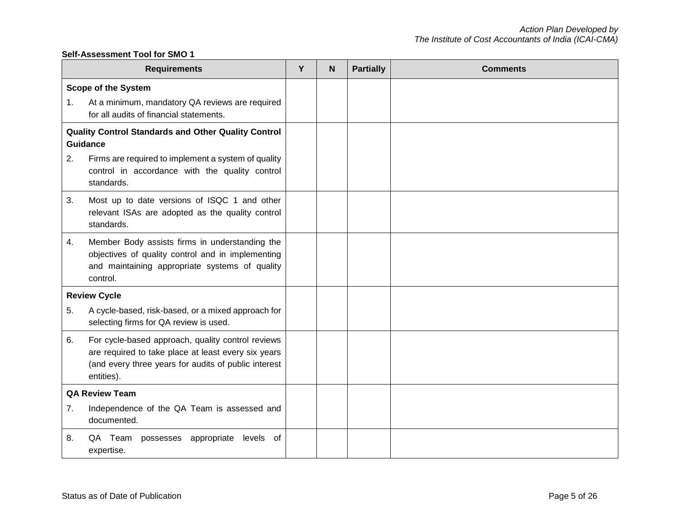#### **Self-Assessment Tool for SMO 1**

|                       | <b>Requirements</b>                                                                                                                                                            | Y | N | <b>Partially</b> | <b>Comments</b> |
|-----------------------|--------------------------------------------------------------------------------------------------------------------------------------------------------------------------------|---|---|------------------|-----------------|
|                       | <b>Scope of the System</b>                                                                                                                                                     |   |   |                  |                 |
| 1.                    | At a minimum, mandatory QA reviews are required<br>for all audits of financial statements.                                                                                     |   |   |                  |                 |
|                       | Quality Control Standards and Other Quality Control<br>Guidance                                                                                                                |   |   |                  |                 |
| 2.                    | Firms are required to implement a system of quality<br>control in accordance with the quality control<br>standards.                                                            |   |   |                  |                 |
| 3.                    | Most up to date versions of ISQC 1 and other<br>relevant ISAs are adopted as the quality control<br>standards.                                                                 |   |   |                  |                 |
| 4.                    | Member Body assists firms in understanding the<br>objectives of quality control and in implementing<br>and maintaining appropriate systems of quality<br>control.              |   |   |                  |                 |
|                       | <b>Review Cycle</b>                                                                                                                                                            |   |   |                  |                 |
| 5.                    | A cycle-based, risk-based, or a mixed approach for<br>selecting firms for QA review is used.                                                                                   |   |   |                  |                 |
| 6.                    | For cycle-based approach, quality control reviews<br>are required to take place at least every six years<br>(and every three years for audits of public interest<br>entities). |   |   |                  |                 |
| <b>QA Review Team</b> |                                                                                                                                                                                |   |   |                  |                 |
| 7.                    | Independence of the QA Team is assessed and<br>documented.                                                                                                                     |   |   |                  |                 |
| 8.                    | QA Team possesses appropriate<br>levels of<br>expertise.                                                                                                                       |   |   |                  |                 |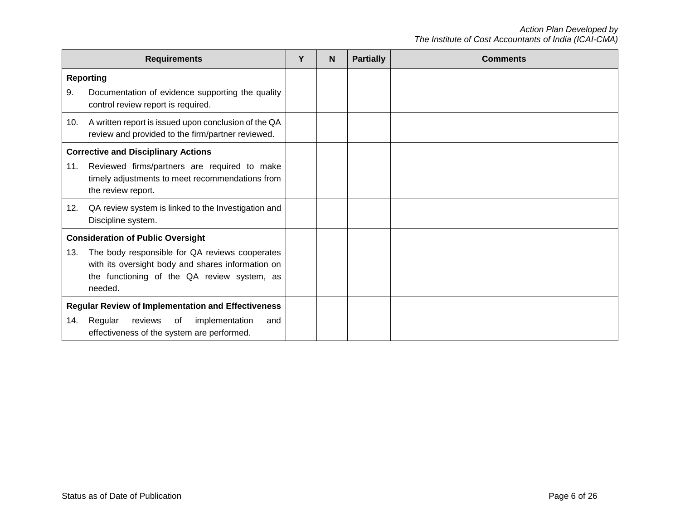|                                                                                                                                                                             | <b>Requirements</b>                                                                                                                                                                                       | Υ | N. | <b>Partially</b> | <b>Comments</b> |
|-----------------------------------------------------------------------------------------------------------------------------------------------------------------------------|-----------------------------------------------------------------------------------------------------------------------------------------------------------------------------------------------------------|---|----|------------------|-----------------|
| 9.                                                                                                                                                                          | <b>Reporting</b><br>Documentation of evidence supporting the quality<br>control review report is required.                                                                                                |   |    |                  |                 |
| 10.                                                                                                                                                                         | A written report is issued upon conclusion of the QA<br>review and provided to the firm/partner reviewed.                                                                                                 |   |    |                  |                 |
| 11.                                                                                                                                                                         | <b>Corrective and Disciplinary Actions</b><br>Reviewed firms/partners are required to make<br>timely adjustments to meet recommendations from<br>the review report.                                       |   |    |                  |                 |
| 12.                                                                                                                                                                         | QA review system is linked to the Investigation and<br>Discipline system.                                                                                                                                 |   |    |                  |                 |
| 13.                                                                                                                                                                         | <b>Consideration of Public Oversight</b><br>The body responsible for QA reviews cooperates<br>with its oversight body and shares information on<br>the functioning of the QA review system, as<br>needed. |   |    |                  |                 |
| <b>Regular Review of Implementation and Effectiveness</b><br>Regular<br>reviews<br>implementation<br>$\circ$ of<br>14.<br>and<br>effectiveness of the system are performed. |                                                                                                                                                                                                           |   |    |                  |                 |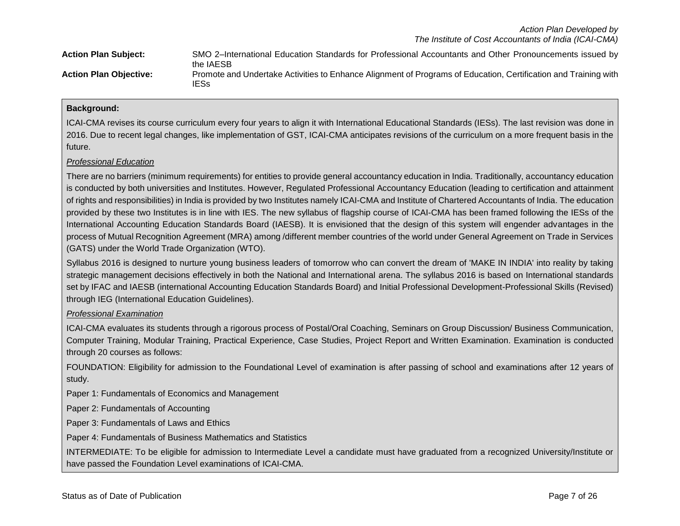| <b>Action Plan Subject:</b>   | SMO 2-International Education Standards for Professional Accountants and Other Pronouncements issued by<br>the IAESB    |
|-------------------------------|-------------------------------------------------------------------------------------------------------------------------|
| <b>Action Plan Objective:</b> | Promote and Undertake Activities to Enhance Alignment of Programs of Education, Certification and Training with<br>IESs |

### **Background:**

ICAI-CMA revises its course curriculum every four years to align it with International Educational Standards (IESs). The last revision was done in 2016. Due to recent legal changes, like implementation of GST, ICAI-CMA anticipates revisions of the curriculum on a more frequent basis in the future.

#### *Professional Education*

There are no barriers (minimum requirements) for entities to provide general accountancy education in India. Traditionally, accountancy education is conducted by both universities and Institutes. However, Regulated Professional Accountancy Education (leading to certification and attainment of rights and responsibilities) in India is provided by two Institutes namely ICAI-CMA and Institute of Chartered Accountants of India. The education provided by these two Institutes is in line with IES. The new syllabus of flagship course of ICAI-CMA has been framed following the IESs of the International Accounting Education Standards Board (IAESB). It is envisioned that the design of this system will engender advantages in the process of Mutual Recognition Agreement (MRA) among /different member countries of the world under General Agreement on Trade in Services (GATS) under the World Trade Organization (WTO).

Syllabus 2016 is designed to nurture young business leaders of tomorrow who can convert the dream of 'MAKE IN INDIA' into reality by taking strategic management decisions effectively in both the National and International arena. The syllabus 2016 is based on International standards set by IFAC and IAESB (international Accounting Education Standards Board) and Initial Professional Development-Professional Skills (Revised) through IEG (International Education Guidelines).

#### *Professional Examination*

ICAI-CMA evaluates its students through a rigorous process of Postal/Oral Coaching, Seminars on Group Discussion/ Business Communication, Computer Training, Modular Training, Practical Experience, Case Studies, Project Report and Written Examination. Examination is conducted through 20 courses as follows:

FOUNDATION: Eligibility for admission to the Foundational Level of examination is after passing of school and examinations after 12 years of study.

Paper 1: Fundamentals of Economics and Management

Paper 2: Fundamentals of Accounting

Paper 3: Fundamentals of Laws and Ethics

Paper 4: Fundamentals of Business Mathematics and Statistics

INTERMEDIATE: To be eligible for admission to Intermediate Level a candidate must have graduated from a recognized University/Institute or have passed the Foundation Level examinations of ICAI-CMA.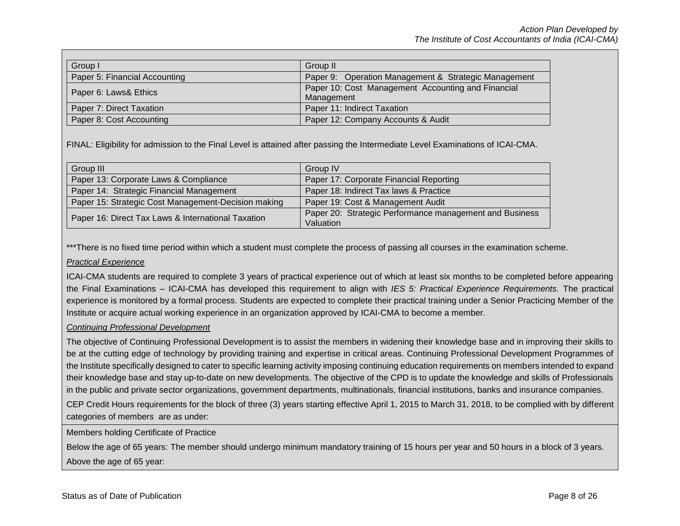| Group I                       | Group II                                                         |
|-------------------------------|------------------------------------------------------------------|
| Paper 5: Financial Accounting | Paper 9: Operation Management & Strategic Management             |
| Paper 6: Laws& Ethics         | Paper 10: Cost Management Accounting and Financial<br>Management |
| Paper 7: Direct Taxation      | Paper 11: Indirect Taxation                                      |
| Paper 8: Cost Accounting      | Paper 12: Company Accounts & Audit                               |

FINAL: Eligibility for admission to the Final Level is attained after passing the Intermediate Level Examinations of ICAI-CMA.

| Group III                                           | Group IV                                                |
|-----------------------------------------------------|---------------------------------------------------------|
| Paper 13: Corporate Laws & Compliance               | Paper 17: Corporate Financial Reporting                 |
| Paper 14: Strategic Financial Management            | Paper 18: Indirect Tax laws & Practice                  |
| Paper 15: Strategic Cost Management-Decision making | Paper 19: Cost & Management Audit                       |
| Paper 16: Direct Tax Laws & International Taxation  | Paper 20: Strategic Performance management and Business |
|                                                     | Valuation                                               |

\*\*\*There is no fixed time period within which a student must complete the process of passing all courses in the examination scheme.

#### *Practical Experience*

ICAI-CMA students are required to complete 3 years of practical experience out of which at least six months to be completed before appearing the Final Examinations – ICAI-CMA has developed this requirement to align with *IES 5: Practical Experience Requirements.* The practical experience is monitored by a formal process. Students are expected to complete their practical training under a Senior Practicing Member of the Institute or acquire actual working experience in an organization approved by ICAI-CMA to become a member.

## *Continuing Professional Development*

The objective of Continuing Professional Development is to assist the members in widening their knowledge base and in improving their skills to be at the cutting edge of technology by providing training and expertise in critical areas. Continuing Professional Development Programmes of the Institute specifically designed to cater to specific learning activity imposing continuing education requirements on members intended to expand their knowledge base and stay up-to-date on new developments. The objective of the CPD is to update the knowledge and skills of Professionals in the public and private sector organizations, government departments, multinationals, financial institutions, banks and insurance companies.

CEP Credit Hours requirements for the block of three (3) years starting effective April 1, 2015 to March 31, 2018, to be complied with by different categories of members are as under:

Members holding Certificate of Practice

Below the age of 65 years: The member should undergo minimum mandatory training of 15 hours per year and 50 hours in a block of 3 years. Above the age of 65 year: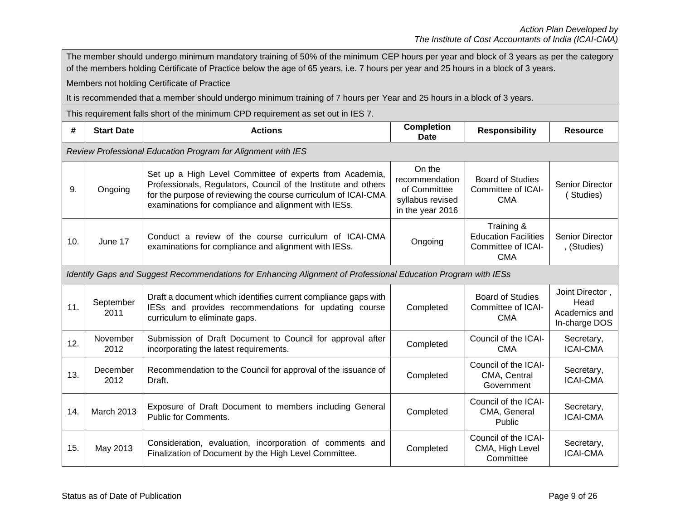|     | The member should undergo minimum mandatory training of 50% of the minimum CEP hours per year and block of 3 years as per the category                                             |                                                                                                                                                                                                                                                     |                                                                                  |                                                                               |                                                           |  |
|-----|------------------------------------------------------------------------------------------------------------------------------------------------------------------------------------|-----------------------------------------------------------------------------------------------------------------------------------------------------------------------------------------------------------------------------------------------------|----------------------------------------------------------------------------------|-------------------------------------------------------------------------------|-----------------------------------------------------------|--|
|     | of the members holding Certificate of Practice below the age of 65 years, i.e. 7 hours per year and 25 hours in a block of 3 years.<br>Members not holding Certificate of Practice |                                                                                                                                                                                                                                                     |                                                                                  |                                                                               |                                                           |  |
|     |                                                                                                                                                                                    | It is recommended that a member should undergo minimum training of 7 hours per Year and 25 hours in a block of 3 years.                                                                                                                             |                                                                                  |                                                                               |                                                           |  |
|     |                                                                                                                                                                                    | This requirement falls short of the minimum CPD requirement as set out in IES 7.                                                                                                                                                                    |                                                                                  |                                                                               |                                                           |  |
| #   | <b>Start Date</b>                                                                                                                                                                  | <b>Actions</b>                                                                                                                                                                                                                                      | <b>Completion</b><br>Date                                                        | <b>Responsibility</b>                                                         | <b>Resource</b>                                           |  |
|     |                                                                                                                                                                                    | Review Professional Education Program for Alignment with IES                                                                                                                                                                                        |                                                                                  |                                                                               |                                                           |  |
| 9.  | Ongoing                                                                                                                                                                            | Set up a High Level Committee of experts from Academia,<br>Professionals, Regulators, Council of the Institute and others<br>for the purpose of reviewing the course curriculum of ICAI-CMA<br>examinations for compliance and alignment with IESs. | On the<br>recommendation<br>of Committee<br>syllabus revised<br>in the year 2016 | <b>Board of Studies</b><br>Committee of ICAI-<br><b>CMA</b>                   | Senior Director<br>(Studies)                              |  |
| 10. | June 17                                                                                                                                                                            | Conduct a review of the course curriculum of ICAI-CMA<br>examinations for compliance and alignment with IESs.                                                                                                                                       | Ongoing                                                                          | Training &<br><b>Education Facilities</b><br>Committee of ICAI-<br><b>CMA</b> | Senior Director<br>, (Studies)                            |  |
|     |                                                                                                                                                                                    | Identify Gaps and Suggest Recommendations for Enhancing Alignment of Professional Education Program with IESs                                                                                                                                       |                                                                                  |                                                                               |                                                           |  |
| 11. | September<br>2011                                                                                                                                                                  | Draft a document which identifies current compliance gaps with<br>IESs and provides recommendations for updating course<br>curriculum to eliminate gaps.                                                                                            | Completed                                                                        | <b>Board of Studies</b><br>Committee of ICAI-<br><b>CMA</b>                   | Joint Director,<br>Head<br>Academics and<br>In-charge DOS |  |
| 12. | November<br>2012                                                                                                                                                                   | Submission of Draft Document to Council for approval after<br>incorporating the latest requirements.                                                                                                                                                | Completed                                                                        | Council of the ICAI-<br><b>CMA</b>                                            | Secretary,<br><b>ICAI-CMA</b>                             |  |
| 13. | December<br>2012                                                                                                                                                                   | Recommendation to the Council for approval of the issuance of<br>Draft.                                                                                                                                                                             | Completed                                                                        | Council of the ICAI-<br>CMA, Central<br>Government                            | Secretary,<br><b>ICAI-CMA</b>                             |  |
| 14. | March 2013                                                                                                                                                                         | Exposure of Draft Document to members including General<br><b>Public for Comments.</b>                                                                                                                                                              | Completed                                                                        | Council of the ICAI-<br>CMA, General<br>Public                                | Secretary,<br><b>ICAI-CMA</b>                             |  |
| 15. | May 2013                                                                                                                                                                           | Consideration, evaluation, incorporation of comments and<br>Finalization of Document by the High Level Committee.                                                                                                                                   | Completed                                                                        | Council of the ICAI-<br>CMA, High Level<br>Committee                          | Secretary,<br><b>ICAI-CMA</b>                             |  |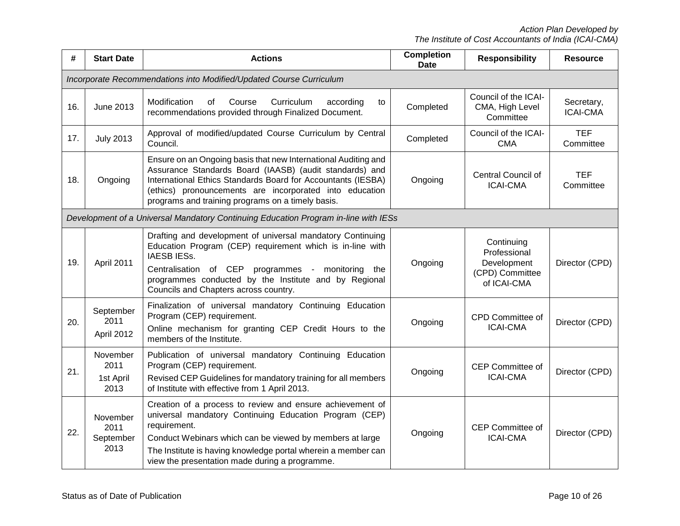*Action Plan Developed by The Institute of Cost Accountants of India (ICAI-CMA)*

| #   | <b>Start Date</b>                                                   | <b>Actions</b>                                                                                                                                                                                                                                                                                                     | <b>Completion</b><br><b>Date</b> | <b>Responsibility</b>                                                       | <b>Resource</b>               |  |  |
|-----|---------------------------------------------------------------------|--------------------------------------------------------------------------------------------------------------------------------------------------------------------------------------------------------------------------------------------------------------------------------------------------------------------|----------------------------------|-----------------------------------------------------------------------------|-------------------------------|--|--|
|     | Incorporate Recommendations into Modified/Updated Course Curriculum |                                                                                                                                                                                                                                                                                                                    |                                  |                                                                             |                               |  |  |
| 16. | <b>June 2013</b>                                                    | Modification<br>Course<br>Curriculum<br>according<br>οf<br>to<br>recommendations provided through Finalized Document.                                                                                                                                                                                              | Completed                        | Council of the ICAI-<br>CMA, High Level<br>Committee                        | Secretary,<br><b>ICAI-CMA</b> |  |  |
| 17. | <b>July 2013</b>                                                    | Approval of modified/updated Course Curriculum by Central<br>Council.                                                                                                                                                                                                                                              | Completed                        | Council of the ICAI-<br><b>CMA</b>                                          | <b>TEF</b><br>Committee       |  |  |
| 18. | Ongoing                                                             | Ensure on an Ongoing basis that new International Auditing and<br>Assurance Standards Board (IAASB) (audit standards) and<br>International Ethics Standards Board for Accountants (IESBA)<br>(ethics) pronouncements are incorporated into education<br>programs and training programs on a timely basis.          | Ongoing                          | Central Council of<br><b>ICAI-CMA</b>                                       | <b>TEF</b><br>Committee       |  |  |
|     |                                                                     | Development of a Universal Mandatory Continuing Education Program in-line with IESs                                                                                                                                                                                                                                |                                  |                                                                             |                               |  |  |
| 19. | April 2011                                                          | Drafting and development of universal mandatory Continuing<br>Education Program (CEP) requirement which is in-line with<br><b>IAESBIESS.</b><br>Centralisation of CEP programmes - monitoring the<br>programmes conducted by the Institute and by Regional<br>Councils and Chapters across country.                | Ongoing                          | Continuing<br>Professional<br>Development<br>(CPD) Committee<br>of ICAI-CMA | Director (CPD)                |  |  |
| 20. | September<br>2011<br>April 2012                                     | Finalization of universal mandatory Continuing Education<br>Program (CEP) requirement.<br>Online mechanism for granting CEP Credit Hours to the<br>members of the Institute.                                                                                                                                       | Ongoing                          | CPD Committee of<br><b>ICAI-CMA</b>                                         | Director (CPD)                |  |  |
| 21. | November<br>2011<br>1st April<br>2013                               | Publication of universal mandatory Continuing Education<br>Program (CEP) requirement.<br>Revised CEP Guidelines for mandatory training for all members<br>of Institute with effective from 1 April 2013.                                                                                                           | Ongoing                          | CEP Committee of<br><b>ICAI-CMA</b>                                         | Director (CPD)                |  |  |
| 22. | November<br>2011<br>September<br>2013                               | Creation of a process to review and ensure achievement of<br>universal mandatory Continuing Education Program (CEP)<br>requirement.<br>Conduct Webinars which can be viewed by members at large<br>The Institute is having knowledge portal wherein a member can<br>view the presentation made during a programme. | Ongoing                          | <b>CEP Committee of</b><br><b>ICAI-CMA</b>                                  | Director (CPD)                |  |  |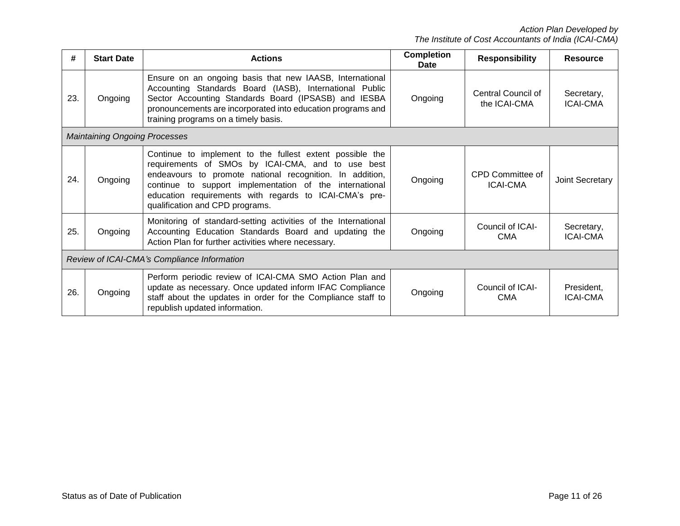| #   | <b>Start Date</b>                           | <b>Actions</b>                                                                                                                                                                                                                                                                                                                    | <b>Completion</b><br>Date | <b>Responsibility</b>               | <b>Resource</b>               |  |
|-----|---------------------------------------------|-----------------------------------------------------------------------------------------------------------------------------------------------------------------------------------------------------------------------------------------------------------------------------------------------------------------------------------|---------------------------|-------------------------------------|-------------------------------|--|
| 23. | Ongoing                                     | Ensure on an ongoing basis that new IAASB, International<br>Accounting Standards Board (IASB), International Public<br>Sector Accounting Standards Board (IPSASB) and IESBA<br>pronouncements are incorporated into education programs and<br>training programs on a timely basis.                                                | Ongoing                   | Central Council of<br>the ICAI-CMA  | Secretary,<br><b>ICAI-CMA</b> |  |
|     | <b>Maintaining Ongoing Processes</b>        |                                                                                                                                                                                                                                                                                                                                   |                           |                                     |                               |  |
| 24. | Ongoing                                     | Continue to implement to the fullest extent possible the<br>requirements of SMOs by ICAI-CMA, and to use best<br>endeavours to promote national recognition. In addition,<br>continue to support implementation of the international<br>education requirements with regards to ICAI-CMA's pre-<br>qualification and CPD programs. | Ongoing                   | CPD Committee of<br><b>ICAI-CMA</b> | Joint Secretary               |  |
| 25. | Ongoing                                     | Monitoring of standard-setting activities of the International<br>Accounting Education Standards Board and updating the<br>Action Plan for further activities where necessary.                                                                                                                                                    | Ongoing                   | Council of ICAI-<br><b>CMA</b>      | Secretary,<br><b>ICAI-CMA</b> |  |
|     | Review of ICAI-CMA's Compliance Information |                                                                                                                                                                                                                                                                                                                                   |                           |                                     |                               |  |
| 26. | Ongoing                                     | Perform periodic review of ICAI-CMA SMO Action Plan and<br>update as necessary. Once updated inform IFAC Compliance<br>staff about the updates in order for the Compliance staff to<br>republish updated information.                                                                                                             | Ongoing                   | Council of ICAI-<br><b>CMA</b>      | President,<br><b>ICAI-CMA</b> |  |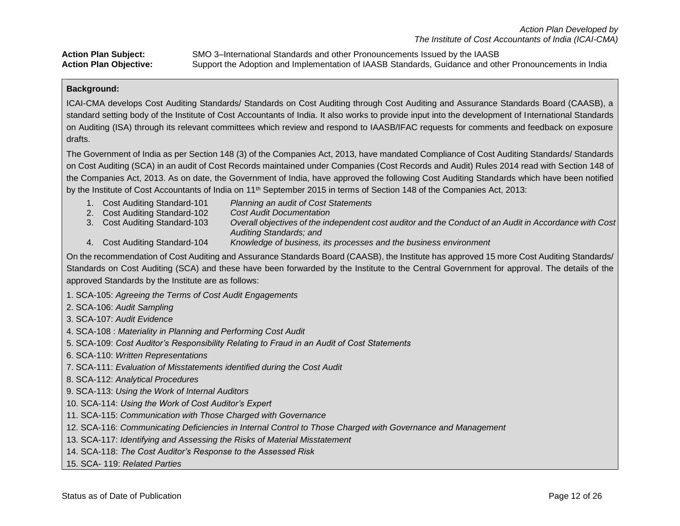**Action Plan Subject:** SMO 3–International Standards and other Pronouncements Issued by the IAASB

**Action Plan Objective:** Support the Adoption and Implementation of IAASB Standards, Guidance and other Pronouncements in India

#### **Background:**

ICAI-CMA develops Cost Auditing Standards/ Standards on Cost Auditing through Cost Auditing and Assurance Standards Board (CAASB), a standard setting body of the Institute of Cost Accountants of India. It also works to provide input into the development of International Standards on Auditing (ISA) through its relevant committees which review and respond to IAASB/IFAC requests for comments and feedback on exposure drafts.

The Government of India as per Section 148 (3) of the Companies Act, 2013, have mandated Compliance of Cost Auditing Standards/ Standards on Cost Auditing (SCA) in an audit of Cost Records maintained under Companies (Cost Records and Audit) Rules 2014 read with Section 148 of the Companies Act, 2013. As on date, the Government of India, have approved the following Cost Auditing Standards which have been notified by the Institute of Cost Accountants of India on 11<sup>th</sup> September 2015 in terms of Section 148 of the Companies Act, 2013:

- 1. Cost Auditing Standard-101 *Planning an audit of Cost Statements*
- 2. Cost Auditing Standard-102 *Cost Audit Documentation*
- 3. Cost Auditing Standard-103 *Overall objectives of the independent cost auditor and the Conduct of an Audit in Accordance with Cost Auditing Standards; and*
- 4. Cost Auditing Standard-104 *Knowledge of business, its processes and the business environment*

On the recommendation of Cost Auditing and Assurance Standards Board (CAASB), the Institute has approved 15 more Cost Auditing Standards/ Standards on Cost Auditing (SCA) and these have been forwarded by the Institute to the Central Government for approval. The details of the approved Standards by the Institute are as follows:

- 1. SCA-105: *Agreeing the Terms of Cost Audit Engagements*
- 2. SCA-106: *Audit Sampling*
- 3. SCA-107: *Audit Evidence*
- 4. SCA-108 : *Materiality in Planning and Performing Cost Audit*
- 5. SCA-109: *Cost Auditor's Responsibility Relating to Fraud in an Audit of Cost Statements*
- 6. SCA-110: *Written Representations*
- 7. SCA-111: *Evaluation of Misstatements identified during the Cost Audit*
- 8. SCA-112: *Analytical Procedures*
- 9. SCA-113: *Using the Work of Internal Auditors*
- 10. SCA-114: *Using the Work of Cost Auditor's Expert*
- 11. SCA-115: *Communication with Those Charged with Governance*
- 12. SCA-116: *Communicating Deficiencies in Internal Control to Those Charged with Governance and Management*
- 13. SCA-117: *Identifying and Assessing the Risks of Material Misstatement*
- 14. SCA-118: *The Cost Auditor's Response to the Assessed Risk*
- 15. SCA- 119: *Related Parties*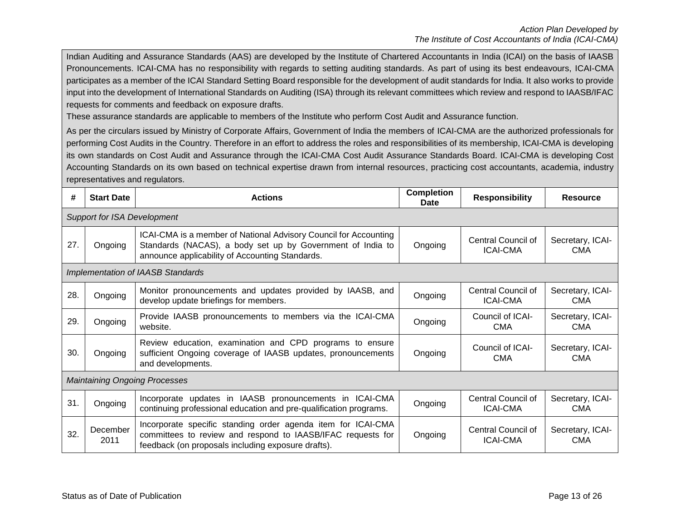Indian Auditing and Assurance Standards (AAS) are developed by the Institute of Chartered Accountants in India (ICAI) on the basis of IAASB Pronouncements. ICAI-CMA has no responsibility with regards to setting auditing standards. As part of using its best endeavours, ICAI-CMA participates as a member of the ICAI Standard Setting Board responsible for the development of audit standards for India. It also works to provide input into the development of International Standards on Auditing (ISA) through its relevant committees which review and respond to IAASB/IFAC requests for comments and feedback on exposure drafts.

These assurance standards are applicable to members of the Institute who perform Cost Audit and Assurance function.

As per the circulars issued by Ministry of Corporate Affairs, Government of India the members of ICAI-CMA are the authorized professionals for performing Cost Audits in the Country. Therefore in an effort to address the roles and responsibilities of its membership, ICAI-CMA is developing its own standards on Cost Audit and Assurance through the ICAI-CMA Cost Audit Assurance Standards Board. ICAI-CMA is developing Cost Accounting Standards on its own based on technical expertise drawn from internal resources, practicing cost accountants, academia, industry representatives and regulators.

| #   | <b>Start Date</b>                  | <b>Actions</b>                                                                                                                                                                    | <b>Completion</b><br>Date | <b>Responsibility</b>                 | <b>Resource</b>                |  |  |  |
|-----|------------------------------------|-----------------------------------------------------------------------------------------------------------------------------------------------------------------------------------|---------------------------|---------------------------------------|--------------------------------|--|--|--|
|     | <b>Support for ISA Development</b> |                                                                                                                                                                                   |                           |                                       |                                |  |  |  |
| 27. | Ongoing                            | ICAI-CMA is a member of National Advisory Council for Accounting<br>Standards (NACAS), a body set up by Government of India to<br>announce applicability of Accounting Standards. | Ongoing                   | Central Council of<br><b>ICAI-CMA</b> | Secretary, ICAI-<br><b>CMA</b> |  |  |  |
|     |                                    | Implementation of IAASB Standards                                                                                                                                                 |                           |                                       |                                |  |  |  |
| 28. | Ongoing                            | Monitor pronouncements and updates provided by IAASB, and<br>develop update briefings for members.                                                                                | Ongoing                   | Central Council of<br><b>ICAI-CMA</b> | Secretary, ICAI-<br><b>CMA</b> |  |  |  |
| 29. | Ongoing                            | Provide IAASB pronouncements to members via the ICAI-CMA<br>website.                                                                                                              | Ongoing                   | Council of ICAI-<br><b>CMA</b>        | Secretary, ICAI-<br><b>CMA</b> |  |  |  |
| 30. | Ongoing                            | Review education, examination and CPD programs to ensure<br>sufficient Ongoing coverage of IAASB updates, pronouncements<br>and developments.                                     | Ongoing                   | Council of ICAI-<br><b>CMA</b>        | Secretary, ICAI-<br><b>CMA</b> |  |  |  |
|     |                                    | <b>Maintaining Ongoing Processes</b>                                                                                                                                              |                           |                                       |                                |  |  |  |
| 31. | Ongoing                            | Incorporate updates in IAASB pronouncements in ICAI-CMA<br>continuing professional education and pre-qualification programs.                                                      | Ongoing                   | Central Council of<br><b>ICAI-CMA</b> | Secretary, ICAI-<br><b>CMA</b> |  |  |  |
| 32. | December<br>2011                   | Incorporate specific standing order agenda item for ICAI-CMA<br>committees to review and respond to IAASB/IFAC requests for<br>feedback (on proposals including exposure drafts). | Ongoing                   | Central Council of<br><b>ICAI-CMA</b> | Secretary, ICAI-<br><b>CMA</b> |  |  |  |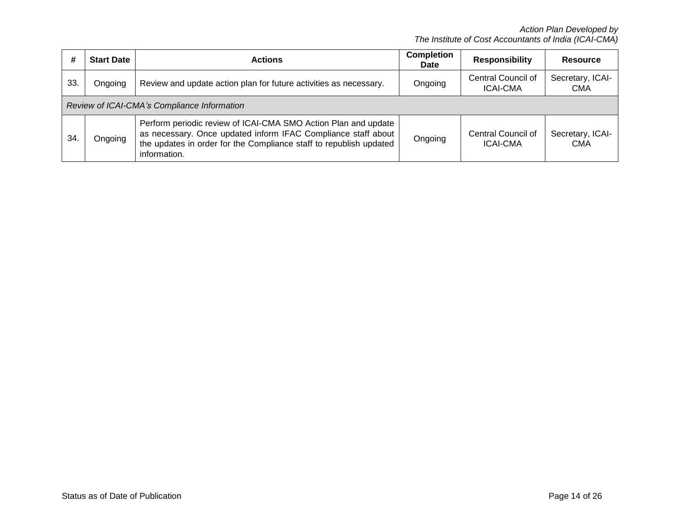*Action Plan Developed by The Institute of Cost Accountants of India (ICAI-CMA)*

| #  | <b>Start Date</b>                                                                                                                                                                                                                | <b>Actions</b>                                                    |  | <b>Responsibility</b>                 | <b>Resource</b>                |
|----|----------------------------------------------------------------------------------------------------------------------------------------------------------------------------------------------------------------------------------|-------------------------------------------------------------------|--|---------------------------------------|--------------------------------|
| 33 | Ongoing                                                                                                                                                                                                                          | Review and update action plan for future activities as necessary. |  | Central Council of<br><b>ICAI-CMA</b> | Secretary, ICAI-<br><b>CMA</b> |
|    |                                                                                                                                                                                                                                  | Review of ICAI-CMA's Compliance Information                       |  |                                       |                                |
| 34 | Perform periodic review of ICAI-CMA SMO Action Plan and update<br>as necessary. Once updated inform IFAC Compliance staff about<br>Ongoing<br>the updates in order for the Compliance staff to republish updated<br>information. |                                                                   |  | Central Council of<br><b>ICAI-CMA</b> | Secretary, ICAI-<br><b>CMA</b> |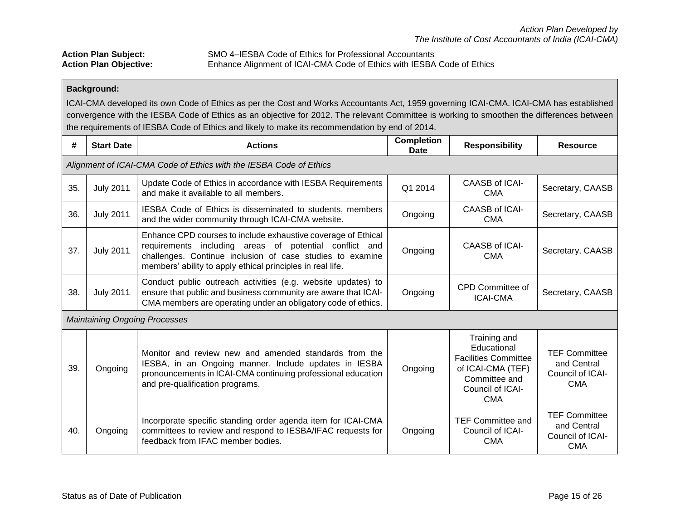Action Plan Subject: SMO 4–IESBA Code of Ethics for Professional Accountants<br>Action Plan Objective: Enhance Alignment of ICAI-CMA Code of Ethics with IESBA Enhance Alignment of ICAI-CMA Code of Ethics with IESBA Code of Ethics

## **Background:**

ICAI-CMA developed its own Code of Ethics as per the Cost and Works Accountants Act, 1959 governing ICAI-CMA. ICAI-CMA has established convergence with the IESBA Code of Ethics as an objective for 2012. The relevant Committee is working to smoothen the differences between the requirements of IESBA Code of Ethics and likely to make its recommendation by end of 2014.

| #                                                                  | <b>Start Date</b>                                                                                                                                                                                                   | <b>Actions</b>                                                                                                                                                                                                                                     | <b>Completion</b><br><b>Date</b> | <b>Responsibility</b>                                                                                                              | <b>Resource</b>                                                       |
|--------------------------------------------------------------------|---------------------------------------------------------------------------------------------------------------------------------------------------------------------------------------------------------------------|----------------------------------------------------------------------------------------------------------------------------------------------------------------------------------------------------------------------------------------------------|----------------------------------|------------------------------------------------------------------------------------------------------------------------------------|-----------------------------------------------------------------------|
| Alignment of ICAI-CMA Code of Ethics with the IESBA Code of Ethics |                                                                                                                                                                                                                     |                                                                                                                                                                                                                                                    |                                  |                                                                                                                                    |                                                                       |
| 35.                                                                | <b>July 2011</b>                                                                                                                                                                                                    | Update Code of Ethics in accordance with IESBA Requirements<br>and make it available to all members.                                                                                                                                               | Q1 2014                          | CAASB of ICAI-<br><b>CMA</b>                                                                                                       | Secretary, CAASB                                                      |
| 36.                                                                | <b>July 2011</b>                                                                                                                                                                                                    | IESBA Code of Ethics is disseminated to students, members<br>and the wider community through ICAI-CMA website.                                                                                                                                     | Ongoing                          | CAASB of ICAI-<br><b>CMA</b>                                                                                                       | Secretary, CAASB                                                      |
| 37.                                                                | <b>July 2011</b>                                                                                                                                                                                                    | Enhance CPD courses to include exhaustive coverage of Ethical<br>requirements including areas of potential conflict and<br>challenges. Continue inclusion of case studies to examine<br>members' ability to apply ethical principles in real life. | Ongoing                          | CAASB of ICAI-<br><b>CMA</b>                                                                                                       | Secretary, CAASB                                                      |
| 38.                                                                | Conduct public outreach activities (e.g. website updates) to<br><b>July 2011</b><br>ensure that public and business community are aware that ICAI-<br>CMA members are operating under an obligatory code of ethics. |                                                                                                                                                                                                                                                    | Ongoing                          | CPD Committee of<br><b>ICAI-CMA</b>                                                                                                | Secretary, CAASB                                                      |
|                                                                    |                                                                                                                                                                                                                     | <b>Maintaining Ongoing Processes</b>                                                                                                                                                                                                               |                                  |                                                                                                                                    |                                                                       |
| 39.                                                                | Ongoing                                                                                                                                                                                                             | Monitor and review new and amended standards from the<br>IESBA, in an Ongoing manner. Include updates in IESBA<br>pronouncements in ICAI-CMA continuing professional education<br>and pre-qualification programs.                                  | Ongoing                          | Training and<br>Educational<br><b>Facilities Committee</b><br>of ICAI-CMA (TEF)<br>Committee and<br>Council of ICAI-<br><b>CMA</b> | <b>TEF Committee</b><br>and Central<br>Council of ICAI-<br><b>CMA</b> |
| 40.                                                                | Ongoing                                                                                                                                                                                                             | Incorporate specific standing order agenda item for ICAI-CMA<br>committees to review and respond to IESBA/IFAC requests for<br>feedback from IFAC member bodies.                                                                                   | Ongoing                          | <b>TEF Committee and</b><br>Council of ICAI-<br><b>CMA</b>                                                                         | <b>TEF Committee</b><br>and Central<br>Council of ICAI-<br><b>CMA</b> |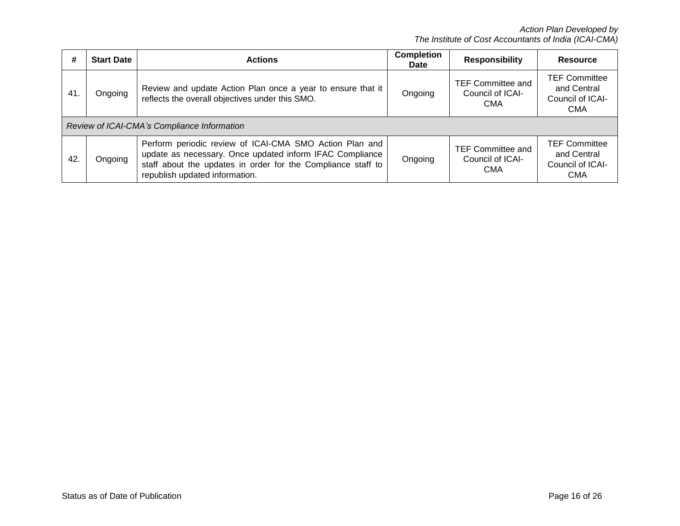| #   | <b>Start Date</b> | <b>Actions</b>                                                                                                                                                                                                        | <b>Completion</b><br><b>Date</b> | <b>Responsibility</b>                                      | Resource                                                              |
|-----|-------------------|-----------------------------------------------------------------------------------------------------------------------------------------------------------------------------------------------------------------------|----------------------------------|------------------------------------------------------------|-----------------------------------------------------------------------|
| 41. | Ongoing           | Review and update Action Plan once a year to ensure that it<br>reflects the overall objectives under this SMO.                                                                                                        | Ongoing                          | <b>TEF Committee and</b><br>Council of ICAI-<br><b>CMA</b> | <b>TEF Committee</b><br>and Central<br>Council of ICAI-<br><b>CMA</b> |
|     |                   | Review of ICAI-CMA's Compliance Information                                                                                                                                                                           |                                  |                                                            |                                                                       |
| 42. | Ongoing           | Perform periodic review of ICAI-CMA SMO Action Plan and<br>update as necessary. Once updated inform IFAC Compliance<br>staff about the updates in order for the Compliance staff to<br>republish updated information. | Ongoing                          | <b>TEF Committee and</b><br>Council of ICAI-<br><b>CMA</b> | <b>TEF Committee</b><br>and Central<br>Council of ICAI-<br><b>CMA</b> |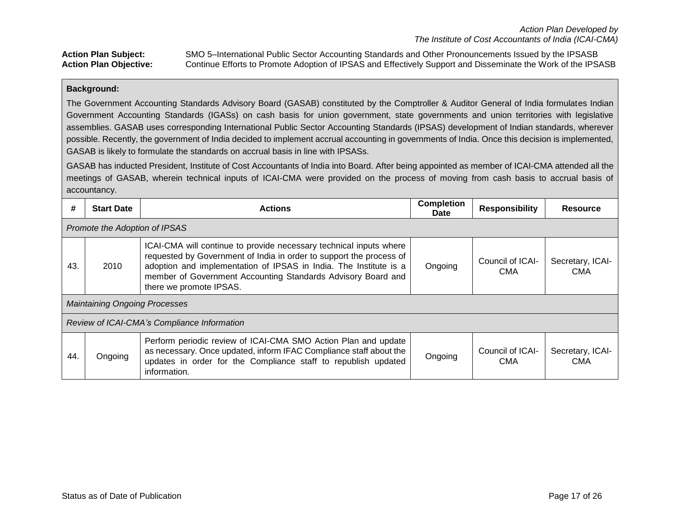# **Action Plan Subject:** SMO 5–International Public Sector Accounting Standards and Other Pronouncements Issued by the IPSASB **Action Plan Objective:** Continue Efforts to Promote Adoption of IPSAS and Effectively Support and Disseminate the Work of the IPSASB

#### **Background:**

The Government Accounting Standards Advisory Board (GASAB) constituted by the Comptroller & Auditor General of India formulates Indian Government Accounting Standards (IGASs) on cash basis for union government, state governments and union territories with legislative assemblies. GASAB uses corresponding International Public Sector Accounting Standards (IPSAS) development of Indian standards, wherever possible. Recently, the government of India decided to implement accrual accounting in governments of India. Once this decision is implemented, GASAB is likely to formulate the standards on accrual basis in line with IPSASs.

GASAB has inducted President, Institute of Cost Accountants of India into Board. After being appointed as member of ICAI-CMA attended all the meetings of GASAB, wherein technical inputs of ICAI-CMA were provided on the process of moving from cash basis to accrual basis of accountancy.

| #   | <b>Start Date</b>                                                                                                                                                                                                                 | <b>Actions</b>                                                                                                                                                                                                                                                                                            | <b>Completion</b><br><b>Date</b> | <b>Responsibility</b>          | <b>Resource</b>                |  |  |
|-----|-----------------------------------------------------------------------------------------------------------------------------------------------------------------------------------------------------------------------------------|-----------------------------------------------------------------------------------------------------------------------------------------------------------------------------------------------------------------------------------------------------------------------------------------------------------|----------------------------------|--------------------------------|--------------------------------|--|--|
|     | Promote the Adoption of IPSAS                                                                                                                                                                                                     |                                                                                                                                                                                                                                                                                                           |                                  |                                |                                |  |  |
| 43. | 2010                                                                                                                                                                                                                              | ICAI-CMA will continue to provide necessary technical inputs where<br>requested by Government of India in order to support the process of<br>adoption and implementation of IPSAS in India. The Institute is a<br>member of Government Accounting Standards Advisory Board and<br>there we promote IPSAS. | Ongoing                          | Council of ICAI-<br><b>CMA</b> | Secretary, ICAI-<br><b>CMA</b> |  |  |
|     | <b>Maintaining Ongoing Processes</b>                                                                                                                                                                                              |                                                                                                                                                                                                                                                                                                           |                                  |                                |                                |  |  |
|     | Review of ICAI-CMA's Compliance Information                                                                                                                                                                                       |                                                                                                                                                                                                                                                                                                           |                                  |                                |                                |  |  |
| 44. | Perform periodic review of ICAI-CMA SMO Action Plan and update<br>as necessary. Once updated, inform IFAC Compliance staff about the<br>Ongoing<br>updates in order for the Compliance staff to republish updated<br>information. |                                                                                                                                                                                                                                                                                                           | Ongoing                          | Council of ICAI-<br><b>CMA</b> | Secretary, ICAI-<br><b>CMA</b> |  |  |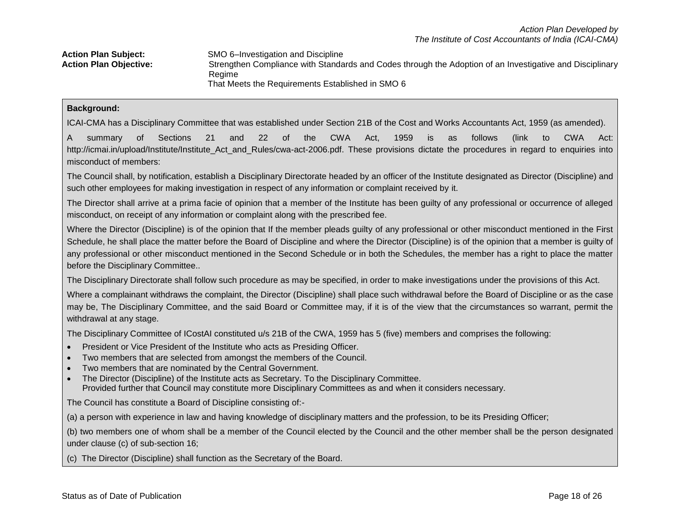| <b>Action Plan Subject:</b>   | SMO 6-Investigation and Discipline                                                                       |
|-------------------------------|----------------------------------------------------------------------------------------------------------|
| <b>Action Plan Objective:</b> | Strengthen Compliance with Standards and Codes through the Adoption of an Investigative and Disciplinary |
|                               | Regime                                                                                                   |
|                               | That Meets the Requirements Established in SMO 6                                                         |

#### **Background:**

ICAI-CMA has a Disciplinary Committee that was established under Section 21B of the Cost and Works Accountants Act, 1959 (as amended).

A summary of Sections 21 and 22 of the CWA Act, 1959 is as follows (link to CWA Act: http://icmai.in/upload/Institute/Institute\_Act\_and\_Rules/cwa-act-2006.pdf. These provisions dictate the procedures in regard to enquiries into misconduct of members:

The Council shall, by notification, establish a Disciplinary Directorate headed by an officer of the Institute designated as Director (Discipline) and such other employees for making investigation in respect of any information or complaint received by it.

The Director shall arrive at a prima facie of opinion that a member of the Institute has been guilty of any professional or occurrence of alleged misconduct, on receipt of any information or complaint along with the prescribed fee.

Where the Director (Discipline) is of the opinion that If the member pleads guilty of any professional or other misconduct mentioned in the First Schedule, he shall place the matter before the Board of Discipline and where the Director (Discipline) is of the opinion that a member is guilty of any professional or other misconduct mentioned in the Second Schedule or in both the Schedules, the member has a right to place the matter before the Disciplinary Committee..

The Disciplinary Directorate shall follow such procedure as may be specified, in order to make investigations under the provisions of this Act.

Where a complainant withdraws the complaint, the Director (Discipline) shall place such withdrawal before the Board of Discipline or as the case may be, The Disciplinary Committee, and the said Board or Committee may, if it is of the view that the circumstances so warrant, permit the withdrawal at any stage.

The Disciplinary Committee of ICostAI constituted u/s 21B of the CWA, 1959 has 5 (five) members and comprises the following:

- President or Vice President of the Institute who acts as Presiding Officer.
- Two members that are selected from amongst the members of the Council.
- Two members that are nominated by the Central Government.
- The Director (Discipline) of the Institute acts as Secretary. To the Disciplinary Committee. Provided further that Council may constitute more Disciplinary Committees as and when it considers necessary.

The Council has constitute a Board of Discipline consisting of:-

(a) a person with experience in law and having knowledge of disciplinary matters and the profession, to be its Presiding Officer;

(b) two members one of whom shall be a member of the Council elected by the Council and the other member shall be the person designated under clause (c) of sub-section 16;

(c) The Director (Discipline) shall function as the Secretary of the Board.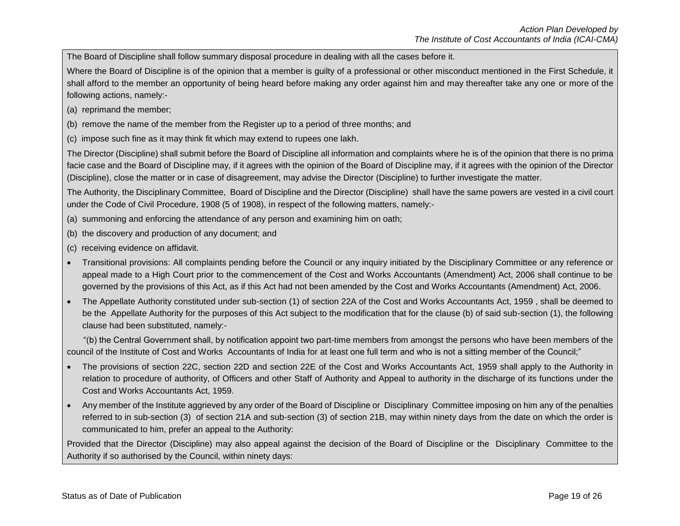The Board of Discipline shall follow summary disposal procedure in dealing with all the cases before it.

Where the Board of Discipline is of the opinion that a member is guilty of a professional or other misconduct mentioned in the First Schedule, it shall afford to the member an opportunity of being heard before making any order against him and may thereafter take any one or more of the following actions, namely:-

- (a) reprimand the member;
- (b) remove the name of the member from the Register up to a period of three months; and
- (c) impose such fine as it may think fit which may extend to rupees one lakh.

The Director (Discipline) shall submit before the Board of Discipline all information and complaints where he is of the opinion that there is no prima facie case and the Board of Discipline may, if it agrees with the opinion of the Board of Discipline may, if it agrees with the opinion of the Director (Discipline), close the matter or in case of disagreement, may advise the Director (Discipline) to further investigate the matter.

The Authority, the Disciplinary Committee, Board of Discipline and the Director (Discipline) shall have the same powers are vested in a civil court under the Code of Civil Procedure, 1908 (5 of 1908), in respect of the following matters, namely:-

- (a) summoning and enforcing the attendance of any person and examining him on oath;
- (b) the discovery and production of any document; and
- (c) receiving evidence on affidavit.
- Transitional provisions: All complaints pending before the Council or any inquiry initiated by the Disciplinary Committee or any reference or appeal made to a High Court prior to the commencement of the Cost and Works Accountants (Amendment) Act, 2006 shall continue to be governed by the provisions of this Act, as if this Act had not been amended by the Cost and Works Accountants (Amendment) Act, 2006.
- The Appellate Authority constituted under sub-section (1) of section 22A of the Cost and Works Accountants Act, 1959 , shall be deemed to be the Appellate Authority for the purposes of this Act subject to the modification that for the clause (b) of said sub-section (1), the following clause had been substituted, namely:-

 "(b) the Central Government shall, by notification appoint two part-time members from amongst the persons who have been members of the council of the Institute of Cost and Works Accountants of India for at least one full term and who is not a sitting member of the Council;"

- The provisions of section 22C, section 22D and section 22E of the Cost and Works Accountants Act, 1959 shall apply to the Authority in relation to procedure of authority, of Officers and other Staff of Authority and Appeal to authority in the discharge of its functions under the Cost and Works Accountants Act, 1959.
- Any member of the Institute aggrieved by any order of the Board of Discipline or Disciplinary Committee imposing on him any of the penalties referred to in sub-section (3) of section 21A and sub-section (3) of section 21B, may within ninety days from the date on which the order is communicated to him, prefer an appeal to the Authority:

Provided that the Director (Discipline) may also appeal against the decision of the Board of Discipline or the Disciplinary Committee to the Authority if so authorised by the Council, within ninety days: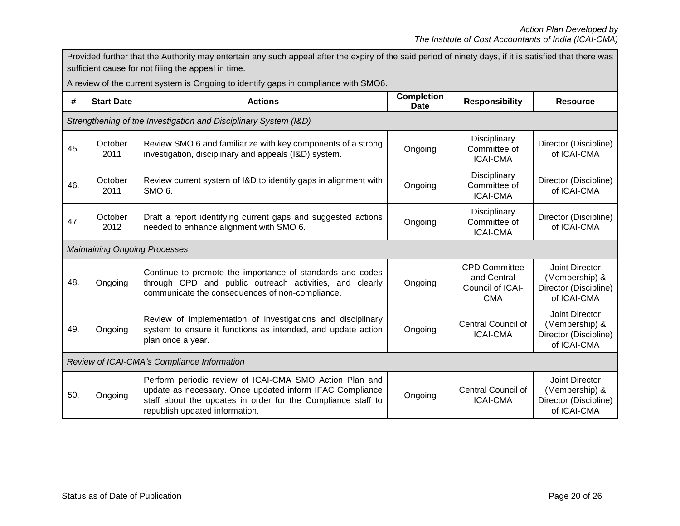|     | Provided further that the Authority may entertain any such appeal after the expiry of the said period of ninety days, if it is satisfied that there was<br>sufficient cause for not filing the appeal in time. |                                                                                                                                                                                                                       |         |                                                                       |                                                                          |  |  |  |  |
|-----|----------------------------------------------------------------------------------------------------------------------------------------------------------------------------------------------------------------|-----------------------------------------------------------------------------------------------------------------------------------------------------------------------------------------------------------------------|---------|-----------------------------------------------------------------------|--------------------------------------------------------------------------|--|--|--|--|
|     |                                                                                                                                                                                                                | A review of the current system is Ongoing to identify gaps in compliance with SMO6.                                                                                                                                   |         |                                                                       |                                                                          |  |  |  |  |
| #   | <b>Completion</b><br><b>Actions</b><br><b>Responsibility</b><br><b>Start Date</b><br><b>Resource</b><br><b>Date</b>                                                                                            |                                                                                                                                                                                                                       |         |                                                                       |                                                                          |  |  |  |  |
|     | Strengthening of the Investigation and Disciplinary System (I&D)                                                                                                                                               |                                                                                                                                                                                                                       |         |                                                                       |                                                                          |  |  |  |  |
| 45. | October<br>2011                                                                                                                                                                                                | Review SMO 6 and familiarize with key components of a strong<br>investigation, disciplinary and appeals (I&D) system.                                                                                                 | Ongoing | Disciplinary<br>Committee of<br><b>ICAI-CMA</b>                       | Director (Discipline)<br>of ICAI-CMA                                     |  |  |  |  |
| 46. | October<br>2011                                                                                                                                                                                                | Review current system of I&D to identify gaps in alignment with<br>SMO <sub>6</sub> .                                                                                                                                 | Ongoing | Disciplinary<br>Committee of<br><b>ICAI-CMA</b>                       | Director (Discipline)<br>of ICAI-CMA                                     |  |  |  |  |
| 47. | Draft a report identifying current gaps and suggested actions<br>October<br>needed to enhance alignment with SMO 6.<br>2012                                                                                    |                                                                                                                                                                                                                       | Ongoing | Disciplinary<br>Committee of<br><b>ICAI-CMA</b>                       | Director (Discipline)<br>of ICAI-CMA                                     |  |  |  |  |
|     | <b>Maintaining Ongoing Processes</b>                                                                                                                                                                           |                                                                                                                                                                                                                       |         |                                                                       |                                                                          |  |  |  |  |
| 48. | Continue to promote the importance of standards and codes<br>through CPD and public outreach activities, and clearly<br>Ongoing<br>communicate the consequences of non-compliance.                             |                                                                                                                                                                                                                       | Ongoing | <b>CPD Committee</b><br>and Central<br>Council of ICAI-<br><b>CMA</b> | Joint Director<br>(Membership) &<br>Director (Discipline)<br>of ICAI-CMA |  |  |  |  |
| 49. | Review of implementation of investigations and disciplinary<br>system to ensure it functions as intended, and update action<br>Ongoing<br>plan once a year.                                                    |                                                                                                                                                                                                                       | Ongoing | <b>Central Council of</b><br><b>ICAI-CMA</b>                          | Joint Director<br>(Membership) &<br>Director (Discipline)<br>of ICAI-CMA |  |  |  |  |
|     | Review of ICAI-CMA's Compliance Information                                                                                                                                                                    |                                                                                                                                                                                                                       |         |                                                                       |                                                                          |  |  |  |  |
| 50. | Ongoing                                                                                                                                                                                                        | Perform periodic review of ICAI-CMA SMO Action Plan and<br>update as necessary. Once updated inform IFAC Compliance<br>staff about the updates in order for the Compliance staff to<br>republish updated information. | Ongoing | <b>Central Council of</b><br><b>ICAI-CMA</b>                          | Joint Director<br>(Membership) &<br>Director (Discipline)<br>of ICAI-CMA |  |  |  |  |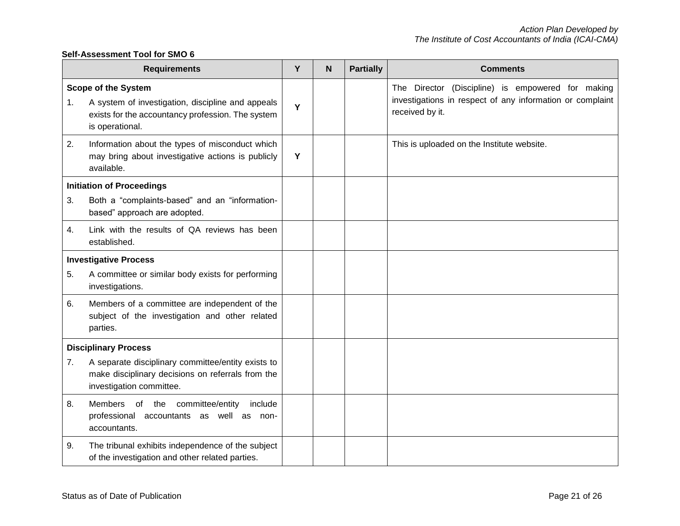### **Self-Assessment Tool for SMO 6**

|    | <b>Requirements</b>                                                                                                                                     | Y | N | <b>Partially</b> | <b>Comments</b>                                                                                                                   |
|----|---------------------------------------------------------------------------------------------------------------------------------------------------------|---|---|------------------|-----------------------------------------------------------------------------------------------------------------------------------|
| 1. | <b>Scope of the System</b><br>A system of investigation, discipline and appeals<br>exists for the accountancy profession. The system<br>is operational. | Y |   |                  | The Director (Discipline) is empowered for making<br>investigations in respect of any information or complaint<br>received by it. |
| 2. | Information about the types of misconduct which<br>may bring about investigative actions is publicly<br>available.                                      | Y |   |                  | This is uploaded on the Institute website.                                                                                        |
| 3. | <b>Initiation of Proceedings</b><br>Both a "complaints-based" and an "information-<br>based" approach are adopted.                                      |   |   |                  |                                                                                                                                   |
| 4. | Link with the results of QA reviews has been<br>established.                                                                                            |   |   |                  |                                                                                                                                   |
|    | <b>Investigative Process</b>                                                                                                                            |   |   |                  |                                                                                                                                   |
| 5. | A committee or similar body exists for performing<br>investigations.                                                                                    |   |   |                  |                                                                                                                                   |
| 6. | Members of a committee are independent of the<br>subject of the investigation and other related<br>parties.                                             |   |   |                  |                                                                                                                                   |
|    | <b>Disciplinary Process</b>                                                                                                                             |   |   |                  |                                                                                                                                   |
| 7. | A separate disciplinary committee/entity exists to<br>make disciplinary decisions on referrals from the<br>investigation committee.                     |   |   |                  |                                                                                                                                   |
| 8. | Members of the committee/entity<br>include<br>professional accountants as well as<br>non-<br>accountants.                                               |   |   |                  |                                                                                                                                   |
| 9. | The tribunal exhibits independence of the subject<br>of the investigation and other related parties.                                                    |   |   |                  |                                                                                                                                   |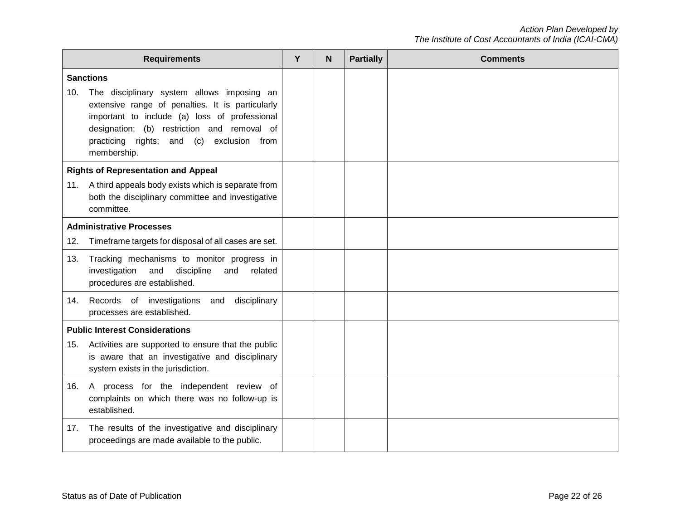|     | <b>Requirements</b>                                                                                                                                                                                                                                           | Y | N | <b>Partially</b> | <b>Comments</b> |
|-----|---------------------------------------------------------------------------------------------------------------------------------------------------------------------------------------------------------------------------------------------------------------|---|---|------------------|-----------------|
|     | <b>Sanctions</b>                                                                                                                                                                                                                                              |   |   |                  |                 |
| 10. | The disciplinary system allows imposing an<br>extensive range of penalties. It is particularly<br>important to include (a) loss of professional<br>designation; (b) restriction and removal of<br>practicing rights; and (c)<br>exclusion from<br>membership. |   |   |                  |                 |
|     | <b>Rights of Representation and Appeal</b>                                                                                                                                                                                                                    |   |   |                  |                 |
| 11. | A third appeals body exists which is separate from<br>both the disciplinary committee and investigative<br>committee.                                                                                                                                         |   |   |                  |                 |
|     | <b>Administrative Processes</b>                                                                                                                                                                                                                               |   |   |                  |                 |
| 12. | Timeframe targets for disposal of all cases are set.                                                                                                                                                                                                          |   |   |                  |                 |
| 13. | Tracking mechanisms to monitor progress in<br>investigation<br>discipline<br>and<br>and<br>related<br>procedures are established.                                                                                                                             |   |   |                  |                 |
| 14. | Records of investigations and disciplinary<br>processes are established.                                                                                                                                                                                      |   |   |                  |                 |
|     | <b>Public Interest Considerations</b>                                                                                                                                                                                                                         |   |   |                  |                 |
| 15. | Activities are supported to ensure that the public<br>is aware that an investigative and disciplinary<br>system exists in the jurisdiction.                                                                                                                   |   |   |                  |                 |
| 16. | A process for the independent review of<br>complaints on which there was no follow-up is<br>established.                                                                                                                                                      |   |   |                  |                 |
| 17. | The results of the investigative and disciplinary<br>proceedings are made available to the public.                                                                                                                                                            |   |   |                  |                 |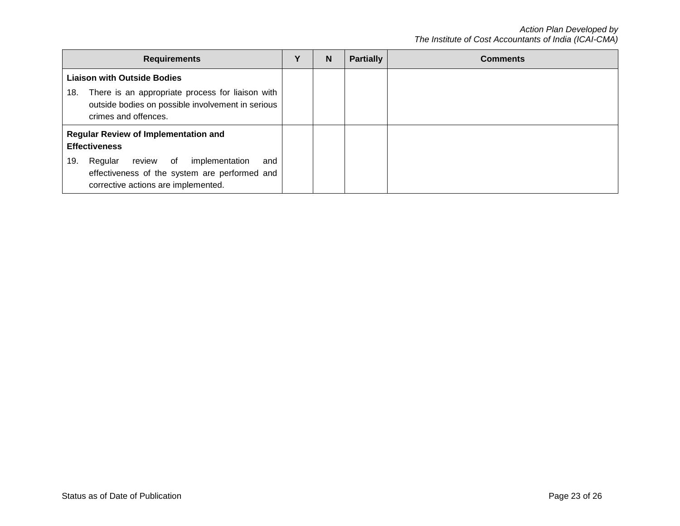| <b>Requirements</b>                                                                                                                       | v | N | <b>Partially</b> | <b>Comments</b> |
|-------------------------------------------------------------------------------------------------------------------------------------------|---|---|------------------|-----------------|
| <b>Liaison with Outside Bodies</b>                                                                                                        |   |   |                  |                 |
| There is an appropriate process for liaison with<br>18.<br>outside bodies on possible involvement in serious<br>crimes and offences.      |   |   |                  |                 |
| <b>Regular Review of Implementation and</b><br><b>Effectiveness</b>                                                                       |   |   |                  |                 |
| Regular review of<br>implementation<br>19.<br>and<br>effectiveness of the system are performed and<br>corrective actions are implemented. |   |   |                  |                 |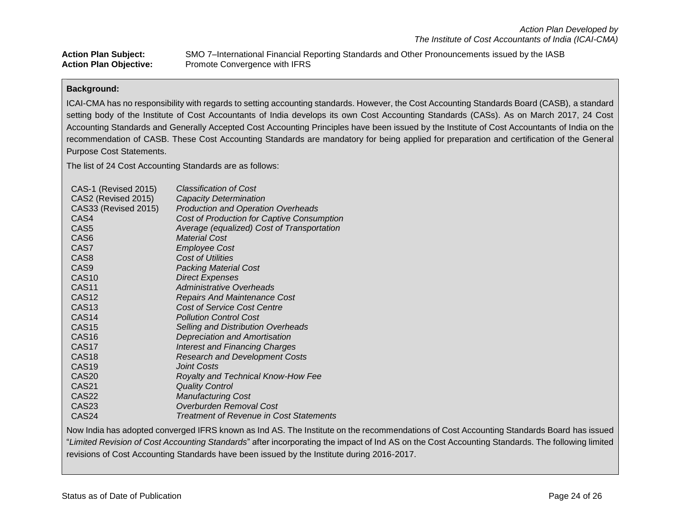**Action Plan Subject:** SMO 7–International Financial Reporting Standards and Other Pronouncements issued by the IASB Action Plan Objective: Promote Convergence with IFRS

#### **Background:**

ICAI-CMA has no responsibility with regards to setting accounting standards. However, the Cost Accounting Standards Board (CASB), a standard setting body of the Institute of Cost Accountants of India develops its own Cost Accounting Standards (CASs). As on March 2017, 24 Cost Accounting Standards and Generally Accepted Cost Accounting Principles have been issued by the Institute of Cost Accountants of India on the recommendation of CASB. These Cost Accounting Standards are mandatory for being applied for preparation and certification of the General Purpose Cost Statements.

The list of 24 Cost Accounting Standards are as follows:

| CAS-1 (Revised 2015)        | <b>Classification of Cost</b>              |
|-----------------------------|--------------------------------------------|
| CAS2 (Revised 2015)         | <b>Capacity Determination</b>              |
| <b>CAS33 (Revised 2015)</b> | <b>Production and Operation Overheads</b>  |
| CAS4                        | Cost of Production for Captive Consumption |
| CAS <sub>5</sub>            | Average (equalized) Cost of Transportation |
| CAS <sub>6</sub>            | <b>Material Cost</b>                       |
| CAS7                        | <b>Employee Cost</b>                       |
| CAS <sub>8</sub>            | <b>Cost of Utilities</b>                   |
| CAS9                        | <b>Packing Material Cost</b>               |
| CAS <sub>10</sub>           | <b>Direct Expenses</b>                     |
| CAS <sub>11</sub>           | Administrative Overheads                   |
| CAS <sub>12</sub>           | <b>Repairs And Maintenance Cost</b>        |
| CAS <sub>13</sub>           | <b>Cost of Service Cost Centre</b>         |
| CAS <sub>14</sub>           | <b>Pollution Control Cost</b>              |
| CAS <sub>15</sub>           | <b>Selling and Distribution Overheads</b>  |
| CAS <sub>16</sub>           | <b>Depreciation and Amortisation</b>       |
| CAS <sub>17</sub>           | <b>Interest and Financing Charges</b>      |
| CAS <sub>18</sub>           | <b>Research and Development Costs</b>      |
| CAS <sub>19</sub>           | <b>Joint Costs</b>                         |
| CAS <sub>20</sub>           | Royalty and Technical Know-How Fee         |
| CAS <sub>21</sub>           | <b>Quality Control</b>                     |
| CAS22                       | <b>Manufacturing Cost</b>                  |
| CAS <sub>23</sub>           | Overburden Removal Cost                    |
| CAS24                       | Treatment of Revenue in Cost Statements    |

Now India has adopted converged IFRS known as Ind AS. The Institute on the recommendations of Cost Accounting Standards Board has issued "*Limited Revision of Cost Accounting Standards*" after incorporating the impact of Ind AS on the Cost Accounting Standards. The following limited revisions of Cost Accounting Standards have been issued by the Institute during 2016-2017.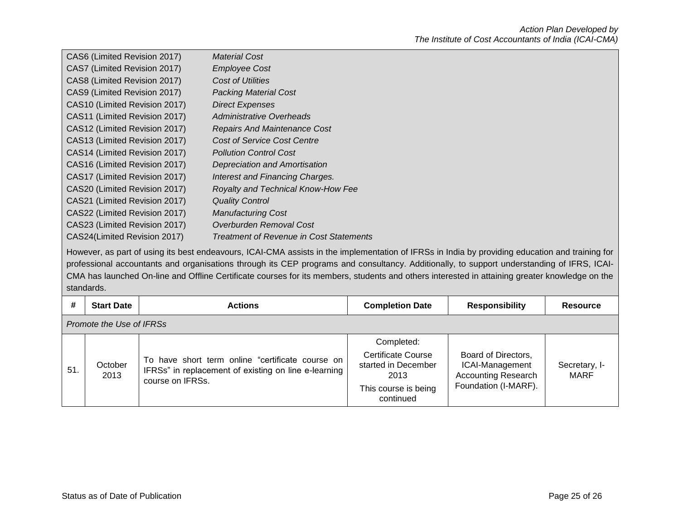| CAS6 (Limited Revision 2017)  | <b>Material Cost</b>                    |
|-------------------------------|-----------------------------------------|
| CAS7 (Limited Revision 2017)  | <b>Employee Cost</b>                    |
| CAS8 (Limited Revision 2017)  | Cost of Utilities                       |
| CAS9 (Limited Revision 2017)  | <b>Packing Material Cost</b>            |
| CAS10 (Limited Revision 2017) | <b>Direct Expenses</b>                  |
| CAS11 (Limited Revision 2017) | Administrative Overheads                |
| CAS12 (Limited Revision 2017) | <b>Repairs And Maintenance Cost</b>     |
| CAS13 (Limited Revision 2017) | Cost of Service Cost Centre             |
| CAS14 (Limited Revision 2017) | <b>Pollution Control Cost</b>           |
| CAS16 (Limited Revision 2017) | Depreciation and Amortisation           |
| CAS17 (Limited Revision 2017) | Interest and Financing Charges.         |
| CAS20 (Limited Revision 2017) | Royalty and Technical Know-How Fee      |
| CAS21 (Limited Revision 2017) | <b>Quality Control</b>                  |
| CAS22 (Limited Revision 2017) | <b>Manufacturing Cost</b>               |
| CAS23 (Limited Revision 2017) | Overburden Removal Cost                 |
| CAS24(Limited Revision 2017)  | Treatment of Revenue in Cost Statements |

However, as part of using its best endeavours, ICAI-CMA assists in the implementation of IFRSs in India by providing education and training for professional accountants and organisations through its CEP programs and consultancy. Additionally, to support understanding of IFRS, ICAI-CMA has launched On-line and Offline Certificate courses for its members, students and others interested in attaining greater knowledge on the standards.

| #   | <b>Start Date</b>        | <b>Actions</b>                                                                                                               | <b>Completion Date</b>                                                                                      | <b>Responsibility</b>                                                                        | <b>Resource</b>       |  |  |  |
|-----|--------------------------|------------------------------------------------------------------------------------------------------------------------------|-------------------------------------------------------------------------------------------------------------|----------------------------------------------------------------------------------------------|-----------------------|--|--|--|
|     | Promote the Use of IFRSs |                                                                                                                              |                                                                                                             |                                                                                              |                       |  |  |  |
| 51. | October<br>2013          | To have short term online "certificate course on<br>IFRSs" in replacement of existing on line e-learning<br>course on IFRSs. | Completed:<br><b>Certificate Course</b><br>started in December<br>2013<br>This course is being<br>continued | Board of Directors,<br>ICAI-Management<br><b>Accounting Research</b><br>Foundation (I-MARF). | Secretary, I-<br>MARF |  |  |  |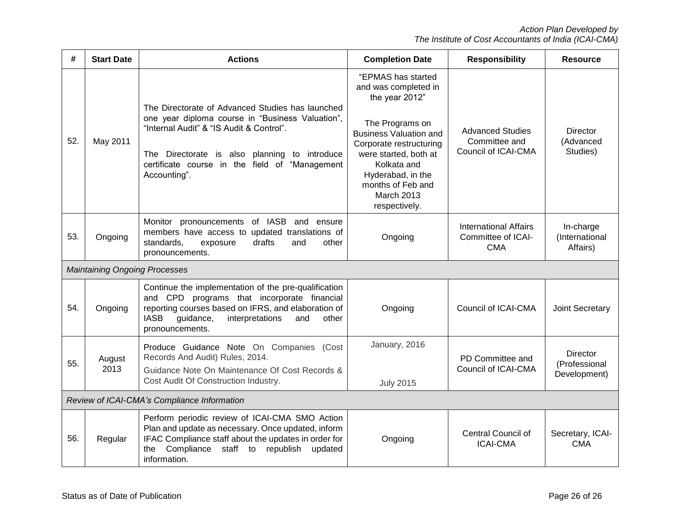| #                                           | <b>Start Date</b> | <b>Actions</b>                                                                                                                                                                                                                                                      | <b>Completion Date</b>                                                                                                                                                                                                                                              | <b>Responsibility</b>                                            | <b>Resource</b>                           |  |  |  |  |  |  |
|---------------------------------------------|-------------------|---------------------------------------------------------------------------------------------------------------------------------------------------------------------------------------------------------------------------------------------------------------------|---------------------------------------------------------------------------------------------------------------------------------------------------------------------------------------------------------------------------------------------------------------------|------------------------------------------------------------------|-------------------------------------------|--|--|--|--|--|--|
| 52.                                         | May 2011          | The Directorate of Advanced Studies has launched<br>one year diploma course in "Business Valuation",<br>"Internal Audit" & "IS Audit & Control".<br>The Directorate is also planning to introduce<br>certificate course in the field of "Management<br>Accounting". | "EPMAS has started<br>and was completed in<br>the year 2012"<br>The Programs on<br><b>Business Valuation and</b><br>Corporate restructuring<br>were started, both at<br>Kolkata and<br>Hyderabad, in the<br>months of Feb and<br><b>March 2013</b><br>respectively. | <b>Advanced Studies</b><br>Committee and<br>Council of ICAI-CMA  | <b>Director</b><br>(Advanced<br>Studies)  |  |  |  |  |  |  |
| 53.                                         | Ongoing           | Monitor pronouncements of IASB and ensure<br>members have access to updated translations of<br>drafts<br>standards,<br>and<br>other<br>exposure<br>pronouncements.                                                                                                  | Ongoing                                                                                                                                                                                                                                                             | <b>International Affairs</b><br>Committee of ICAI-<br><b>CMA</b> | In-charge<br>(International<br>Affairs)   |  |  |  |  |  |  |
| <b>Maintaining Ongoing Processes</b>        |                   |                                                                                                                                                                                                                                                                     |                                                                                                                                                                                                                                                                     |                                                                  |                                           |  |  |  |  |  |  |
| 54.                                         | Ongoing           | Continue the implementation of the pre-qualification<br>and CPD programs that incorporate financial<br>reporting courses based on IFRS, and elaboration of<br><b>IASB</b><br>guidance,<br>interpretations<br>other<br>and<br>pronouncements.                        | Ongoing                                                                                                                                                                                                                                                             | Council of ICAI-CMA                                              | Joint Secretary                           |  |  |  |  |  |  |
| 55.                                         | August<br>2013    | Produce Guidance Note On Companies (Cost<br>Records And Audit) Rules, 2014.<br>Guidance Note On Maintenance Of Cost Records &<br>Cost Audit Of Construction Industry.                                                                                               | January, 2016<br><b>July 2015</b>                                                                                                                                                                                                                                   | PD Committee and<br>Council of ICAI-CMA                          | Director<br>(Professional<br>Development) |  |  |  |  |  |  |
| Review of ICAI-CMA's Compliance Information |                   |                                                                                                                                                                                                                                                                     |                                                                                                                                                                                                                                                                     |                                                                  |                                           |  |  |  |  |  |  |
| 56.                                         | Regular           | Perform periodic review of ICAI-CMA SMO Action<br>Plan and update as necessary. Once updated, inform<br>IFAC Compliance staff about the updates in order for<br>Compliance staff to<br>republish<br>the<br>updated<br>information.                                  | Ongoing                                                                                                                                                                                                                                                             | <b>Central Council of</b><br><b>ICAI-CMA</b>                     | Secretary, ICAI-<br><b>CMA</b>            |  |  |  |  |  |  |